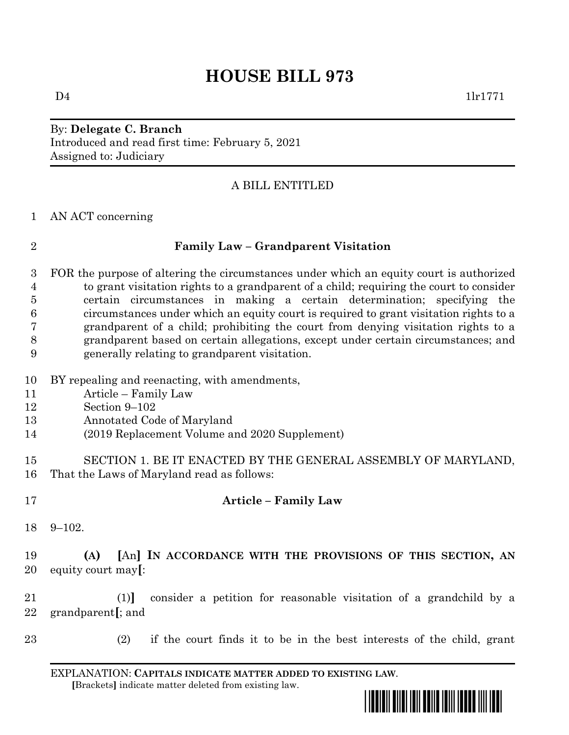# **HOUSE BILL 973**

By: **Delegate C. Branch** Introduced and read first time: February 5, 2021 Assigned to: Judiciary

# A BILL ENTITLED

AN ACT concerning

|  | ۰ |   |  |
|--|---|---|--|
|  |   | I |  |
|  | I |   |  |

### **Family Law – Grandparent Visitation**

- FOR the purpose of altering the circumstances under which an equity court is authorized to grant visitation rights to a grandparent of a child; requiring the court to consider certain circumstances in making a certain determination; specifying the circumstances under which an equity court is required to grant visitation rights to a grandparent of a child; prohibiting the court from denying visitation rights to a grandparent based on certain allegations, except under certain circumstances; and generally relating to grandparent visitation.
- BY repealing and reenacting, with amendments,
- Article Family Law
- Section 9–102
- Annotated Code of Maryland
- (2019 Replacement Volume and 2020 Supplement)
- SECTION 1. BE IT ENACTED BY THE GENERAL ASSEMBLY OF MARYLAND, That the Laws of Maryland read as follows:
- 

# **Article – Family Law**

9–102.

 **(A) [**An**] IN ACCORDANCE WITH THE PROVISIONS OF THIS SECTION, AN**  equity court may**[**:

 (1)**]** consider a petition for reasonable visitation of a grandchild by a grandparent**[**; and

(2) if the court finds it to be in the best interests of the child, grant

EXPLANATION: **CAPITALS INDICATE MATTER ADDED TO EXISTING LAW**.  **[**Brackets**]** indicate matter deleted from existing law.

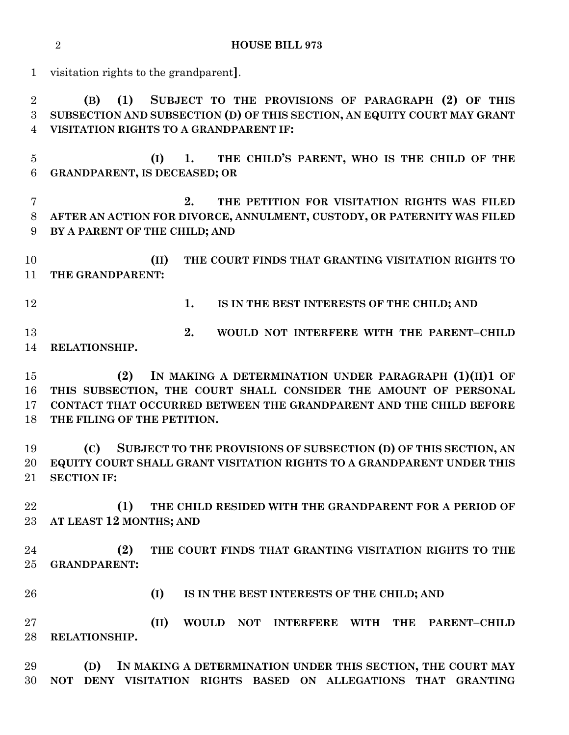**HOUSE BILL 973**

visitation rights to the grandparent**]**.

 **(B) (1) SUBJECT TO THE PROVISIONS OF PARAGRAPH (2) OF THIS SUBSECTION AND SUBSECTION (D) OF THIS SECTION, AN EQUITY COURT MAY GRANT VISITATION RIGHTS TO A GRANDPARENT IF:**

 **(I) 1. THE CHILD'S PARENT, WHO IS THE CHILD OF THE GRANDPARENT, IS DECEASED; OR**

 **2. THE PETITION FOR VISITATION RIGHTS WAS FILED AFTER AN ACTION FOR DIVORCE, ANNULMENT, CUSTODY, OR PATERNITY WAS FILED BY A PARENT OF THE CHILD; AND**

 **(II) THE COURT FINDS THAT GRANTING VISITATION RIGHTS TO THE GRANDPARENT:**

**1. IS IN THE BEST INTERESTS OF THE CHILD; AND**

**2. WOULD NOT INTERFERE WITH THE PARENT-CHILD RELATIONSHIP.**

 **(2) IN MAKING A DETERMINATION UNDER PARAGRAPH (1)(II)1 OF THIS SUBSECTION, THE COURT SHALL CONSIDER THE AMOUNT OF PERSONAL CONTACT THAT OCCURRED BETWEEN THE GRANDPARENT AND THE CHILD BEFORE THE FILING OF THE PETITION.**

 **(C) SUBJECT TO THE PROVISIONS OF SUBSECTION (D) OF THIS SECTION, AN EQUITY COURT SHALL GRANT VISITATION RIGHTS TO A GRANDPARENT UNDER THIS SECTION IF:**

 **(1) THE CHILD RESIDED WITH THE GRANDPARENT FOR A PERIOD OF AT LEAST 12 MONTHS; AND** 

 **(2) THE COURT FINDS THAT GRANTING VISITATION RIGHTS TO THE GRANDPARENT:**

**(I) IS IN THE BEST INTERESTS OF THE CHILD; AND** 

 **(II) WOULD NOT INTERFERE WITH THE PARENT–CHILD RELATIONSHIP.**

 **(D) IN MAKING A DETERMINATION UNDER THIS SECTION, THE COURT MAY NOT DENY VISITATION RIGHTS BASED ON ALLEGATIONS THAT GRANTING**